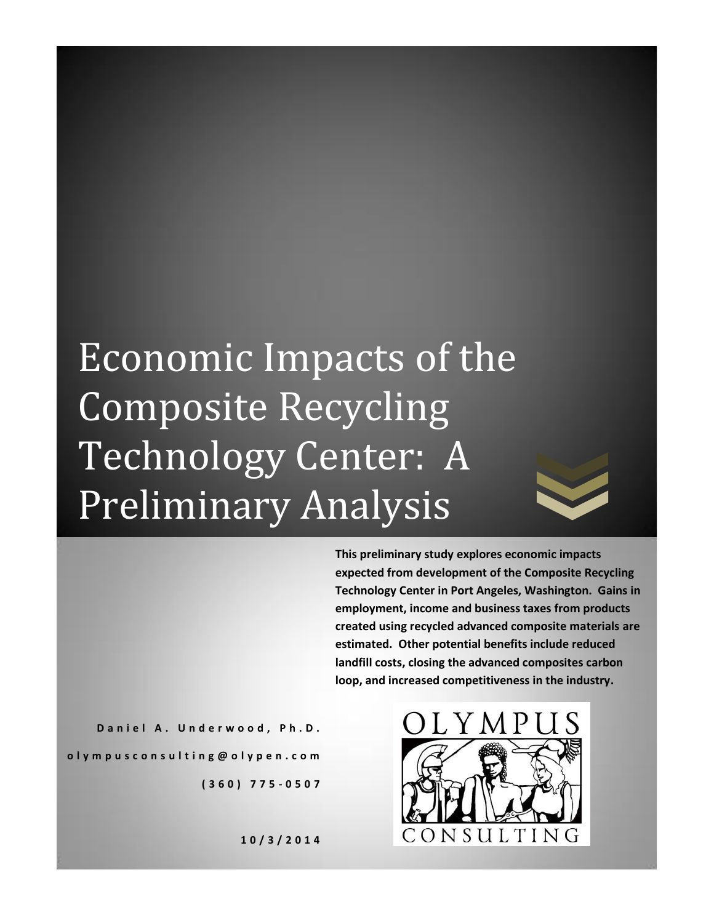# Economic Impacts of the Composite Recycling Technology Center: A Preliminary Analysis

**This preliminary study explores economic impacts expected from development of the Composite Recycling Technology Center in Port Angeles, Washington. Gains in employment, income and business taxes from products created using recycled advanced composite materials are estimated. Other potential benefits include reduced landfill costs, closing the advanced composites carbon loop, and increased competitiveness in the industry.**

**D a n i e l A . U n d e r w o o d , P h . D . o l y m p u s c o n s u l t i n g @ o l y p e n . c o m ( 3 6 0 ) 7 7 5 - 0 5 0 7**



**1 0 / 3 / 2 0 1 4**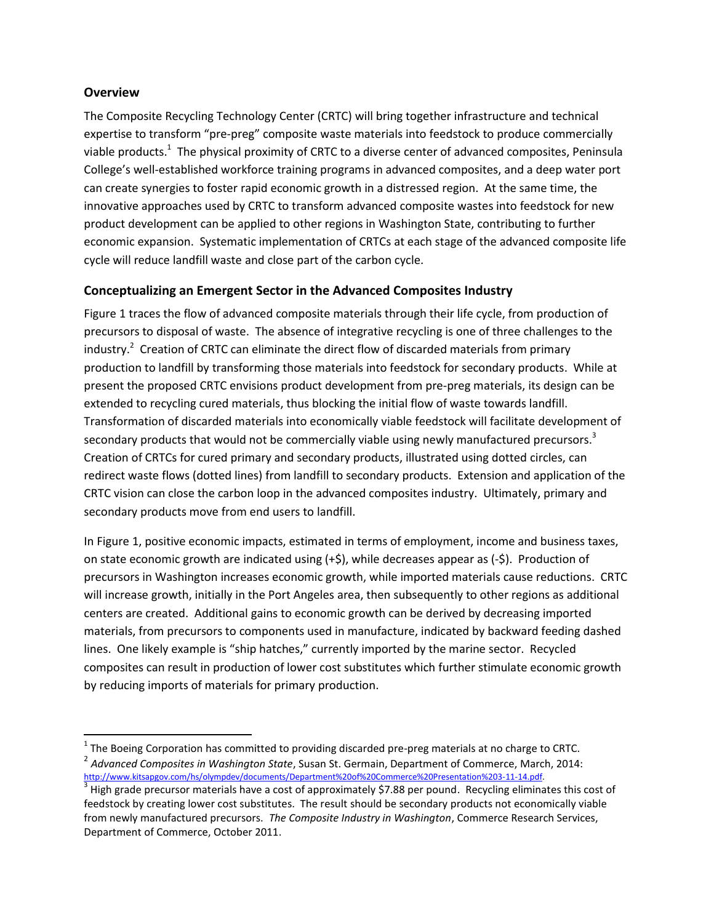### **Overview**

 $\overline{\phantom{a}}$ 

The Composite Recycling Technology Center (CRTC) will bring together infrastructure and technical expertise to transform "pre-preg" composite waste materials into feedstock to produce commercially viable products.<sup>1</sup> The physical proximity of CRTC to a diverse center of advanced composites, Peninsula College's well-established workforce training programs in advanced composites, and a deep water port can create synergies to foster rapid economic growth in a distressed region. At the same time, the innovative approaches used by CRTC to transform advanced composite wastes into feedstock for new product development can be applied to other regions in Washington State, contributing to further economic expansion. Systematic implementation of CRTCs at each stage of the advanced composite life cycle will reduce landfill waste and close part of the carbon cycle.

## **Conceptualizing an Emergent Sector in the Advanced Composites Industry**

Figure 1 traces the flow of advanced composite materials through their life cycle, from production of precursors to disposal of waste. The absence of integrative recycling is one of three challenges to the industry.<sup>2</sup> Creation of CRTC can eliminate the direct flow of discarded materials from primary production to landfill by transforming those materials into feedstock for secondary products. While at present the proposed CRTC envisions product development from pre-preg materials, its design can be extended to recycling cured materials, thus blocking the initial flow of waste towards landfill. Transformation of discarded materials into economically viable feedstock will facilitate development of secondary products that would not be commercially viable using newly manufactured precursors.<sup>3</sup> Creation of CRTCs for cured primary and secondary products, illustrated using dotted circles, can redirect waste flows (dotted lines) from landfill to secondary products. Extension and application of the CRTC vision can close the carbon loop in the advanced composites industry. Ultimately, primary and secondary products move from end users to landfill.

In Figure 1, positive economic impacts, estimated in terms of employment, income and business taxes, on state economic growth are indicated using  $(+\xi)$ , while decreases appear as  $(-\xi)$ . Production of precursors in Washington increases economic growth, while imported materials cause reductions. CRTC will increase growth, initially in the Port Angeles area, then subsequently to other regions as additional centers are created. Additional gains to economic growth can be derived by decreasing imported materials, from precursors to components used in manufacture, indicated by backward feeding dashed lines. One likely example is "ship hatches," currently imported by the marine sector. Recycled composites can result in production of lower cost substitutes which further stimulate economic growth by reducing imports of materials for primary production.

 $^{1}$  The Boeing Corporation has committed to providing discarded pre-preg materials at no charge to CRTC. 2 *Advanced Composites in Washington State*, Susan St. Germain, Department of Commerce, March, 2014: [http://www.kitsapgov.com/hs/olympdev/documents/Department%20of%20Commerce%20Presentation%203-11-14.pdf.](http://www.kitsapgov.com/hs/olympdev/documents/Department%20of%20Commerce%20Presentation%203-11-14.pdf)

 $^3$  High grade precursor materials have a cost of approximately \$7.88 per pound. Recycling eliminates this cost of feedstock by creating lower cost substitutes. The result should be secondary products not economically viable from newly manufactured precursors. *The Composite Industry in Washington*, Commerce Research Services, Department of Commerce, October 2011.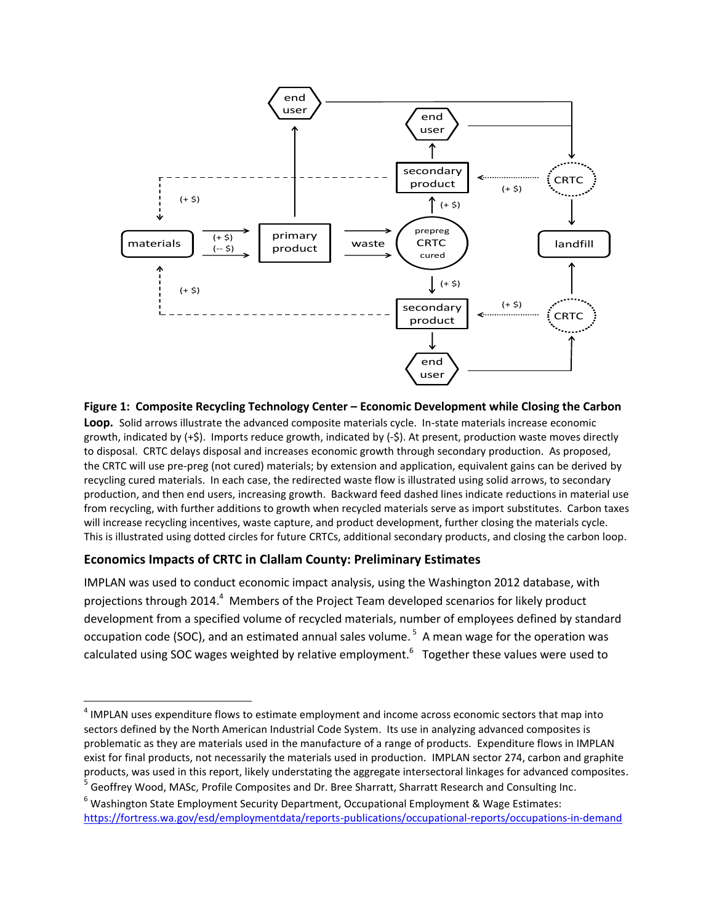

**Figure 1: Composite Recycling Technology Center – Economic Development while Closing the Carbon Loop.** Solid arrows illustrate the advanced composite materials cycle. In-state materials increase economic growth, indicated by (+\$). Imports reduce growth, indicated by (-\$). At present, production waste moves directly to disposal. CRTC delays disposal and increases economic growth through secondary production. As proposed, the CRTC will use pre-preg (not cured) materials; by extension and application, equivalent gains can be derived by recycling cured materials. In each case, the redirected waste flow is illustrated using solid arrows, to secondary production, and then end users, increasing growth. Backward feed dashed lines indicate reductions in material use from recycling, with further additions to growth when recycled materials serve as import substitutes. Carbon taxes will increase recycling incentives, waste capture, and product development, further closing the materials cycle. This is illustrated using dotted circles for future CRTCs, additional secondary products, and closing the carbon loop.

#### **Economics Impacts of CRTC in Clallam County: Preliminary Estimates**

IMPLAN was used to conduct economic impact analysis, using the Washington 2012 database, with projections through 2014.<sup>4</sup> Members of the Project Team developed scenarios for likely product development from a specified volume of recycled materials, number of employees defined by standard occupation code (SOC), and an estimated annual sales volume. 5 A mean wage for the operation was calculated using SOC wages weighted by relative employment.<sup>6</sup> Together these values were used to

 $\overline{a}$ <sup>4</sup> IMPLAN uses expenditure flows to estimate employment and income across economic sectors that map into sectors defined by the North American Industrial Code System. Its use in analyzing advanced composites is problematic as they are materials used in the manufacture of a range of products. Expenditure flows in IMPLAN exist for final products, not necessarily the materials used in production. IMPLAN sector 274, carbon and graphite products, was used in this report, likely understating the aggregate intersectoral linkages for advanced composites.

<sup>&</sup>lt;sup>5</sup> Geoffrey Wood, MASc, Profile Composites and Dr. Bree Sharratt, Sharratt Research and Consulting Inc.

<sup>&</sup>lt;sup>6</sup> Washington State Employment Security Department, Occupational Employment & Wage Estimates: <https://fortress.wa.gov/esd/employmentdata/reports-publications/occupational-reports/occupations-in-demand>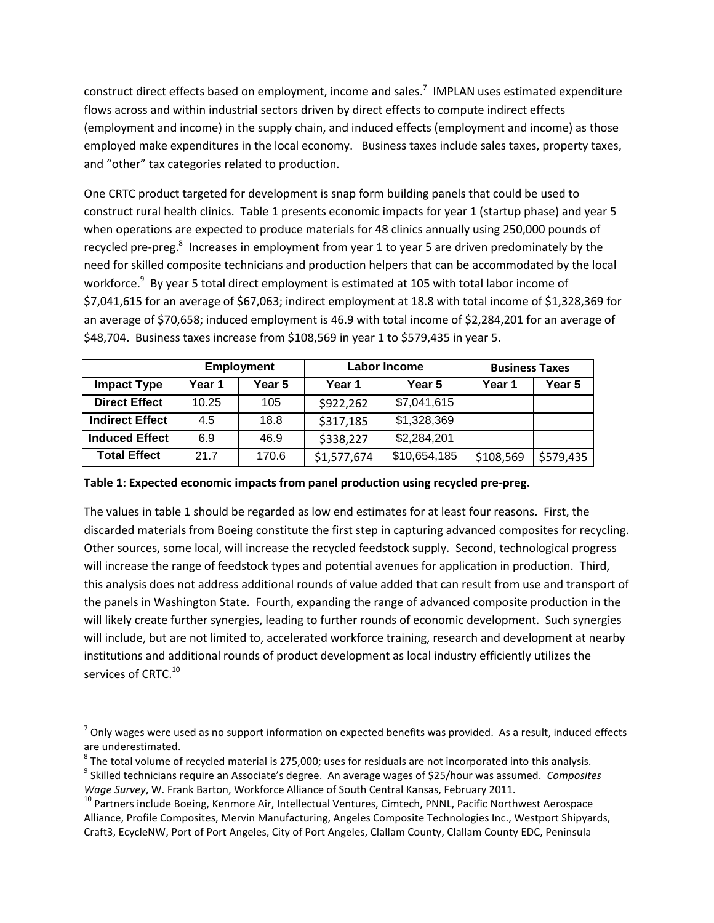construct direct effects based on employment, income and sales.<sup>7</sup> IMPLAN uses estimated expenditure flows across and within industrial sectors driven by direct effects to compute indirect effects (employment and income) in the supply chain, and induced effects (employment and income) as those employed make expenditures in the local economy. Business taxes include sales taxes, property taxes, and "other" tax categories related to production.

One CRTC product targeted for development is snap form building panels that could be used to construct rural health clinics. Table 1 presents economic impacts for year 1 (startup phase) and year 5 when operations are expected to produce materials for 48 clinics annually using 250,000 pounds of recycled pre-preg.<sup>8</sup> Increases in employment from year 1 to year 5 are driven predominately by the need for skilled composite technicians and production helpers that can be accommodated by the local workforce.<sup>9</sup> By year 5 total direct employment is estimated at 105 with total labor income of \$7,041,615 for an average of \$67,063; indirect employment at 18.8 with total income of \$1,328,369 for an average of \$70,658; induced employment is 46.9 with total income of \$2,284,201 for an average of \$48,704. Business taxes increase from \$108,569 in year 1 to \$579,435 in year 5.

|                        | <b>Employment</b> |        | Labor Income |              | <b>Business Taxes</b> |           |
|------------------------|-------------------|--------|--------------|--------------|-----------------------|-----------|
| <b>Impact Type</b>     | Year 1            | Year 5 | Year 1       | Year 5       | Year 1                | Year 5    |
| <b>Direct Effect</b>   | 10.25             | 105    | \$922,262    | \$7,041,615  |                       |           |
| <b>Indirect Effect</b> | 4.5               | 18.8   | \$317,185    | \$1,328,369  |                       |           |
| <b>Induced Effect</b>  | 6.9               | 46.9   | \$338,227    | \$2,284,201  |                       |           |
| <b>Total Effect</b>    | 21.7              | 170.6  | \$1,577,674  | \$10,654,185 | \$108,569             | \$579,435 |

#### **Table 1: Expected economic impacts from panel production using recycled pre-preg.**

The values in table 1 should be regarded as low end estimates for at least four reasons. First, the discarded materials from Boeing constitute the first step in capturing advanced composites for recycling. Other sources, some local, will increase the recycled feedstock supply. Second, technological progress will increase the range of feedstock types and potential avenues for application in production. Third, this analysis does not address additional rounds of value added that can result from use and transport of the panels in Washington State. Fourth, expanding the range of advanced composite production in the will likely create further synergies, leading to further rounds of economic development. Such synergies will include, but are not limited to, accelerated workforce training, research and development at nearby institutions and additional rounds of product development as local industry efficiently utilizes the services of CRTC.<sup>10</sup>

 $\overline{\phantom{a}}$ 

 $^7$  Only wages were used as no support information on expected benefits was provided. As a result, induced effects are underestimated.

 $^8$  The total volume of recycled material is 275,000; uses for residuals are not incorporated into this analysis.

<sup>9</sup> Skilled technicians require an Associate's degree. An average wages of \$25/hour was assumed. *Composites Wage Survey*, W. Frank Barton, Workforce Alliance of South Central Kansas, February 2011.

<sup>&</sup>lt;sup>10</sup> Partners include Boeing, Kenmore Air, Intellectual Ventures, Cimtech, PNNL, Pacific Northwest Aerospace Alliance, Profile Composites, Mervin Manufacturing, Angeles Composite Technologies Inc., Westport Shipyards, Craft3, EcycleNW, Port of Port Angeles, City of Port Angeles, Clallam County, Clallam County EDC, Peninsula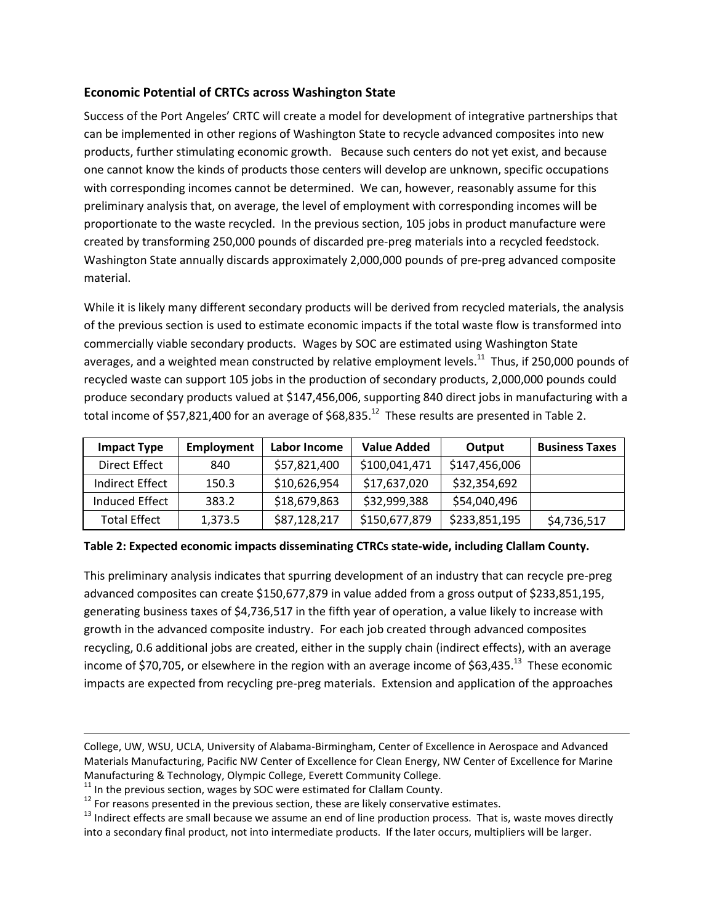## **Economic Potential of CRTCs across Washington State**

Success of the Port Angeles' CRTC will create a model for development of integrative partnerships that can be implemented in other regions of Washington State to recycle advanced composites into new products, further stimulating economic growth. Because such centers do not yet exist, and because one cannot know the kinds of products those centers will develop are unknown, specific occupations with corresponding incomes cannot be determined. We can, however, reasonably assume for this preliminary analysis that, on average, the level of employment with corresponding incomes will be proportionate to the waste recycled. In the previous section, 105 jobs in product manufacture were created by transforming 250,000 pounds of discarded pre-preg materials into a recycled feedstock. Washington State annually discards approximately 2,000,000 pounds of pre-preg advanced composite material.

While it is likely many different secondary products will be derived from recycled materials, the analysis of the previous section is used to estimate economic impacts if the total waste flow is transformed into commercially viable secondary products. Wages by SOC are estimated using Washington State averages, and a weighted mean constructed by relative employment levels.<sup>11</sup> Thus, if 250,000 pounds of recycled waste can support 105 jobs in the production of secondary products, 2,000,000 pounds could produce secondary products valued at \$147,456,006, supporting 840 direct jobs in manufacturing with a total income of \$57,821,400 for an average of \$68,835.<sup>12</sup> These results are presented in Table 2.

| <b>Impact Type</b>  | <b>Employment</b> | Labor Income | <b>Value Added</b> | Output        | <b>Business Taxes</b> |
|---------------------|-------------------|--------------|--------------------|---------------|-----------------------|
| Direct Effect       | 840               | \$57,821,400 | \$100,041,471      | \$147,456,006 |                       |
| Indirect Effect     | 150.3             | \$10,626,954 | \$17,637,020       | \$32,354,692  |                       |
| Induced Effect      | 383.2             | \$18,679,863 | \$32,999,388       | \$54,040,496  |                       |
| <b>Total Effect</b> | 1,373.5           | \$87,128,217 | \$150,677,879      | \$233,851,195 | \$4,736,517           |

**Table 2: Expected economic impacts disseminating CTRCs state-wide, including Clallam County.**

This preliminary analysis indicates that spurring development of an industry that can recycle pre-preg advanced composites can create \$150,677,879 in value added from a gross output of \$233,851,195, generating business taxes of \$4,736,517 in the fifth year of operation, a value likely to increase with growth in the advanced composite industry. For each job created through advanced composites recycling, 0.6 additional jobs are created, either in the supply chain (indirect effects), with an average income of \$70,705, or elsewhere in the region with an average income of \$63,435.<sup>13</sup> These economic impacts are expected from recycling pre-preg materials. Extension and application of the approaches

 $\overline{\phantom{a}}$ 

College, UW, WSU, UCLA, University of Alabama-Birmingham, Center of Excellence in Aerospace and Advanced Materials Manufacturing, Pacific NW Center of Excellence for Clean Energy, NW Center of Excellence for Marine Manufacturing & Technology, Olympic College, Everett Community College.

 $11$  In the previous section, wages by SOC were estimated for Clallam County.

 $12$  For reasons presented in the previous section, these are likely conservative estimates.

 $13$  Indirect effects are small because we assume an end of line production process. That is, waste moves directly into a secondary final product, not into intermediate products. If the later occurs, multipliers will be larger.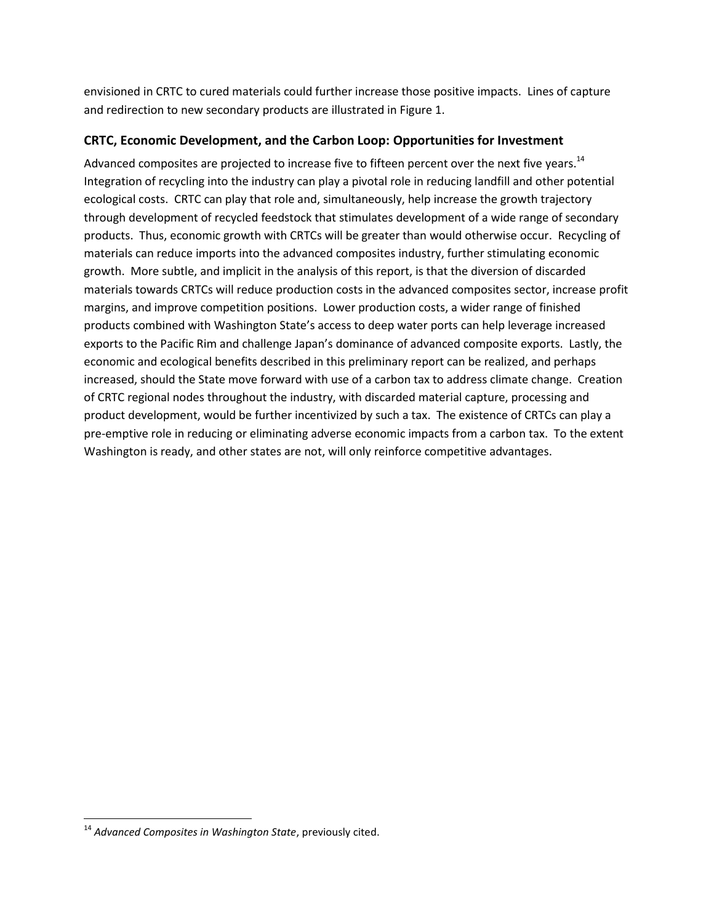envisioned in CRTC to cured materials could further increase those positive impacts. Lines of capture and redirection to new secondary products are illustrated in Figure 1.

## **CRTC, Economic Development, and the Carbon Loop: Opportunities for Investment**

Advanced composites are projected to increase five to fifteen percent over the next five years.<sup>14</sup> Integration of recycling into the industry can play a pivotal role in reducing landfill and other potential ecological costs. CRTC can play that role and, simultaneously, help increase the growth trajectory through development of recycled feedstock that stimulates development of a wide range of secondary products. Thus, economic growth with CRTCs will be greater than would otherwise occur. Recycling of materials can reduce imports into the advanced composites industry, further stimulating economic growth. More subtle, and implicit in the analysis of this report, is that the diversion of discarded materials towards CRTCs will reduce production costs in the advanced composites sector, increase profit margins, and improve competition positions. Lower production costs, a wider range of finished products combined with Washington State's access to deep water ports can help leverage increased exports to the Pacific Rim and challenge Japan's dominance of advanced composite exports. Lastly, the economic and ecological benefits described in this preliminary report can be realized, and perhaps increased, should the State move forward with use of a carbon tax to address climate change. Creation of CRTC regional nodes throughout the industry, with discarded material capture, processing and product development, would be further incentivized by such a tax. The existence of CRTCs can play a pre-emptive role in reducing or eliminating adverse economic impacts from a carbon tax. To the extent Washington is ready, and other states are not, will only reinforce competitive advantages.

 $\overline{\phantom{a}}$ 

<sup>14</sup> *Advanced Composites in Washington State*, previously cited.